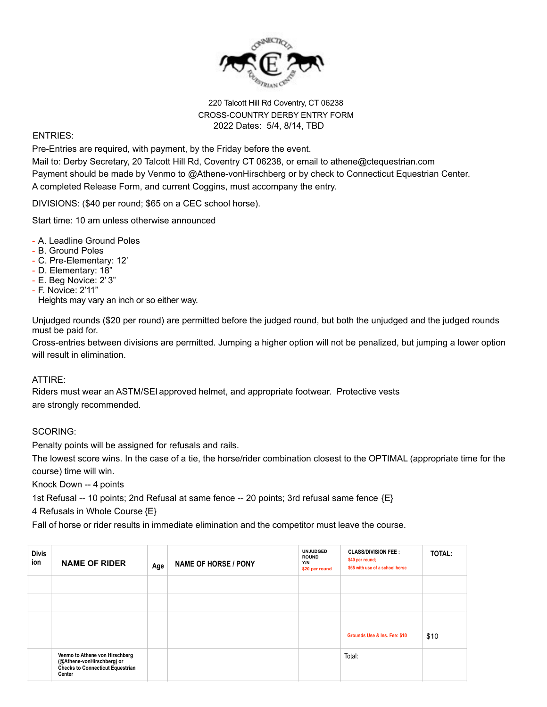

# 220 Talcott Hill Rd Coventry, CT 06238 CROSS-COUNTRY DERBY ENTRY FORM 2022 Dates: 5/4, 8/14, TBD

#### ENTRIES:

Pre-Entries are required, with payment, by the Friday before the event.

Mail to: Derby Secretary, 20 Talcott Hill Rd, Coventry CT 06238, or email to athene@ctequestrian.com Payment should be made by Venmo to @Athene-vonHirschberg or by check to Connecticut Equestrian Center. A completed Release Form, and current Coggins, must accompany the entry.

DIVISIONS: (\$40 per round; \$65 on a CEC school horse).

Start time: 10 am unless otherwise announced

- A. Leadline Ground Poles
- B. Ground Poles
- C. Pre-Elementary: 12'
- D. Elementary: 18"
- E. Beg Novice: 2' 3"
- F. Novice: 2'11"

Heights may vary an inch or so either way.

Unjudged rounds (\$20 per round) are permitted before the judged round, but both the unjudged and the judged rounds must be paid for.

Cross-entries between divisions are permitted. Jumping a higher option will not be penalized, but jumping a lower option will result in elimination.

### ATTIRE:

Riders must wear an ASTM/SEI approved helmet, and appropriate footwear. Protective vests are strongly recommended.

### SCORING:

Penalty points will be assigned for refusals and rails.

The lowest score wins. In the case of a tie, the horse/rider combination closest to the OPTIMAL (appropriate time for the course) time will win.

Knock Down -- 4 points

1st Refusal -- 10 points; 2nd Refusal at same fence -- 20 points; 3rd refusal same fence {E}

4 Refusals in Whole Course {E}

Fall of horse or rider results in immediate elimination and the competitor must leave the course.

| <b>Divis</b><br>ion | <b>NAME OF RIDER</b>                                                                                              | Age | <b>NAME OF HORSE / PONY</b> | <b>UNJUDGED</b><br><b>ROUND</b><br>Y/N<br>\$20 per round | <b>CLASS/DIVISION FEE:</b><br>\$40 per round;<br>\$65 with use of a school horse | <b>TOTAL:</b> |
|---------------------|-------------------------------------------------------------------------------------------------------------------|-----|-----------------------------|----------------------------------------------------------|----------------------------------------------------------------------------------|---------------|
|                     |                                                                                                                   |     |                             |                                                          |                                                                                  |               |
|                     |                                                                                                                   |     |                             |                                                          |                                                                                  |               |
|                     |                                                                                                                   |     |                             |                                                          |                                                                                  |               |
|                     |                                                                                                                   |     |                             |                                                          | Grounds Use & Ins. Fee: \$10                                                     | \$10          |
|                     | Venmo to Athene von Hirschberg<br>(@Athene-vonHirschberg) or<br><b>Checks to Connecticut Equestrian</b><br>Center |     |                             |                                                          | Total:                                                                           |               |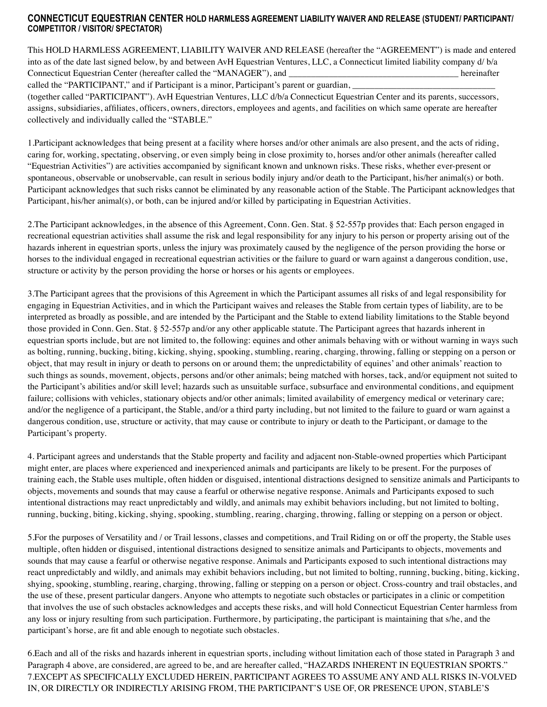## **CONNECTICUT EQUESTRIAN CENTER HOLD HARMLESS AGREEMENT LIABILITY WAIVER AND RELEASE (STUDENT/ PARTICIPANT/ COMPETITOR / VISITOR/ SPECTATOR)**

This HOLD HARMLESS AGREEMENT, LIABILITY WAIVER AND RELEASE (hereafter the "AGREEMENT") is made and entered into as of the date last signed below, by and between AvH Equestrian Ventures, LLC, a Connecticut limited liability company d/ b/a Connecticut Equestrian Center (hereafter called the "MANAGER"), and  $\blacksquare$  hereinafter

called the "PARTICIPANT," and if Participant is a minor, Participant's parent or guardian,

(together called "PARTICIPANT"). AvH Equestrian Ventures, LLC d/b/a Connecticut Equestrian Center and its parents, successors, assigns, subsidiaries, affiliates, officers, owners, directors, employees and agents, and facilities on which same operate are hereafter collectively and individually called the "STABLE."

1.Participant acknowledges that being present at a facility where horses and/or other animals are also present, and the acts of riding, caring for, working, spectating, observing, or even simply being in close proximity to, horses and/or other animals (hereafter called "Equestrian Activities") are activities accompanied by significant known and unknown risks. These risks, whether ever-present or spontaneous, observable or unobservable, can result in serious bodily injury and/or death to the Participant, his/her animal(s) or both. Participant acknowledges that such risks cannot be eliminated by any reasonable action of the Stable. The Participant acknowledges that Participant, his/her animal(s), or both, can be injured and/or killed by participating in Equestrian Activities.

2.The Participant acknowledges, in the absence of this Agreement, Conn. Gen. Stat. § 52-557p provides that: Each person engaged in recreational equestrian activities shall assume the risk and legal responsibility for any injury to his person or property arising out of the hazards inherent in equestrian sports, unless the injury was proximately caused by the negligence of the person providing the horse or horses to the individual engaged in recreational equestrian activities or the failure to guard or warn against a dangerous condition, use, structure or activity by the person providing the horse or horses or his agents or employees.

3.The Participant agrees that the provisions of this Agreement in which the Participant assumes all risks of and legal responsibility for engaging in Equestrian Activities, and in which the Participant waives and releases the Stable from certain types of liability, are to be interpreted as broadly as possible, and are intended by the Participant and the Stable to extend liability limitations to the Stable beyond those provided in Conn. Gen. Stat. § 52-557p and/or any other applicable statute. The Participant agrees that hazards inherent in equestrian sports include, but are not limited to, the following: equines and other animals behaving with or without warning in ways such as bolting, running, bucking, biting, kicking, shying, spooking, stumbling, rearing, charging, throwing, falling or stepping on a person or object, that may result in injury or death to persons on or around them; the unpredictability of equines' and other animals' reaction to such things as sounds, movement, objects, persons and/or other animals; being matched with horses, tack, and/or equipment not suited to the Participant's abilities and/or skill level; hazards such as unsuitable surface, subsurface and environmental conditions, and equipment failure; collisions with vehicles, stationary objects and/or other animals; limited availability of emergency medical or veterinary care; and/or the negligence of a participant, the Stable, and/or a third party including, but not limited to the failure to guard or warn against a dangerous condition, use, structure or activity, that may cause or contribute to injury or death to the Participant, or damage to the Participant's property.

4. Participant agrees and understands that the Stable property and facility and adjacent non-Stable-owned properties which Participant might enter, are places where experienced and inexperienced animals and participants are likely to be present. For the purposes of training each, the Stable uses multiple, often hidden or disguised, intentional distractions designed to sensitize animals and Participants to objects, movements and sounds that may cause a fearful or otherwise negative response. Animals and Participants exposed to such intentional distractions may react unpredictably and wildly, and animals may exhibit behaviors including, but not limited to bolting, running, bucking, biting, kicking, shying, spooking, stumbling, rearing, charging, throwing, falling or stepping on a person or object.

5.For the purposes of Versatility and / or Trail lessons, classes and competitions, and Trail Riding on or off the property, the Stable uses multiple, often hidden or disguised, intentional distractions designed to sensitize animals and Participants to objects, movements and sounds that may cause a fearful or otherwise negative response. Animals and Participants exposed to such intentional distractions may react unpredictably and wildly, and animals may exhibit behaviors including, but not limited to bolting, running, bucking, biting, kicking, shying, spooking, stumbling, rearing, charging, throwing, falling or stepping on a person or object. Cross-country and trail obstacles, and the use of these, present particular dangers. Anyone who attempts to negotiate such obstacles or participates in a clinic or competition that involves the use of such obstacles acknowledges and accepts these risks, and will hold Connecticut Equestrian Center harmless from any loss or injury resulting from such participation. Furthermore, by participating, the participant is maintaining that s/he, and the participant's horse, are fit and able enough to negotiate such obstacles.

6.Each and all of the risks and hazards inherent in equestrian sports, including without limitation each of those stated in Paragraph 3 and Paragraph 4 above, are considered, are agreed to be, and are hereafter called, "HAZARDS INHERENT IN EQUESTRIAN SPORTS." 7.EXCEPT AS SPECIFICALLY EXCLUDED HEREIN, PARTICIPANT AGREES TO ASSUME ANY AND ALL RISKS IN-VOLVED IN, OR DIRECTLY OR INDIRECTLY ARISING FROM, THE PARTICIPANT'S USE OF, OR PRESENCE UPON, STABLE'S